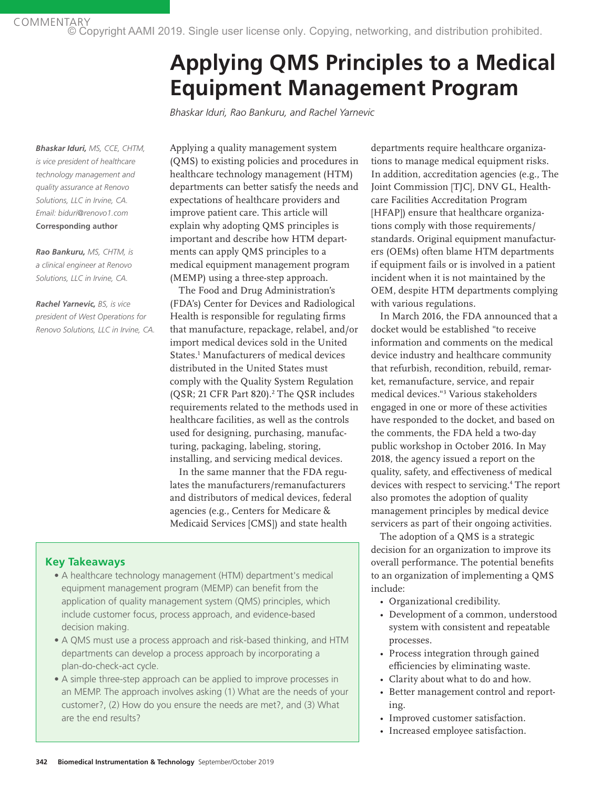# **Applying QMS Principles to a Medical Equipment Management Program**

*Bhaskar Iduri, Rao Bankuru, and Rachel Yarnevic*

*Bhaskar Iduri, MS, CCE, CHTM, is vice president of healthcare technology management and quality assurance at Renovo Solutions, LLC in Irvine, CA. Email: biduri@renovo1.com* **Corresponding author**

*Rao Bankuru, MS, CHTM, is a clinical engineer at Renovo Solutions, LLC in Irvine, CA.*

*Rachel Yarnevic, BS, is vice president of West Operations for Renovo Solutions, LLC in Irvine, CA.* Applying a quality management system (QMS) to existing policies and procedures in healthcare technology management (HTM) departments can better satisfy the needs and expectations of healthcare providers and improve patient care. This article will explain why adopting QMS principles is important and describe how HTM departments can apply QMS principles to a medical equipment management program (MEMP) using a three-step approach.

The Food and Drug Administration's (FDA's) Center for Devices and Radiological Health is responsible for regulating firms that manufacture, repackage, relabel, and/or import medical devices sold in the United States.1 Manufacturers of medical devices distributed in the United States must comply with the Quality System Regulation (QSR; 21 CFR Part 820).<sup>2</sup> The QSR includes requirements related to the methods used in healthcare facilities, as well as the controls used for designing, purchasing, manufacturing, packaging, labeling, storing, installing, and servicing medical devices.

In the same manner that the FDA regulates the manufacturers/remanufacturers and distributors of medical devices, federal agencies (e.g., Centers for Medicare & Medicaid Services [CMS]) and state health

# **Key Takeaways**

- A healthcare technology management (HTM) department's medical equipment management program (MEMP) can benefit from the application of quality management system (QMS) principles, which include customer focus, process approach, and evidence-based decision making.
- A QMS must use a process approach and risk-based thinking, and HTM departments can develop a process approach by incorporating a plan-do-check-act cycle.
- A simple three-step approach can be applied to improve processes in an MEMP. The approach involves asking (1) What are the needs of your customer?, (2) How do you ensure the needs are met?, and (3) What are the end results?

departments require healthcare organizations to manage medical equipment risks. In addition, accreditation agencies (e.g., The Joint Commission [TJC], DNV GL, Healthcare Facilities Accreditation Program [HFAP]) ensure that healthcare organizations comply with those requirements/ standards. Original equipment manufacturers (OEMs) often blame HTM departments if equipment fails or is involved in a patient incident when it is not maintained by the OEM, despite HTM departments complying with various regulations.

In March 2016, the FDA announced that a docket would be established "to receive information and comments on the medical device industry and healthcare community that refurbish, recondition, rebuild, remarket, remanufacture, service, and repair medical devices."3 Various stakeholders engaged in one or more of these activities have responded to the docket, and based on the comments, the FDA held a two-day public workshop in October 2016. In May 2018, the agency issued a report on the quality, safety, and effectiveness of medical devices with respect to servicing.<sup>4</sup> The report also promotes the adoption of quality management principles by medical device servicers as part of their ongoing activities.

The adoption of a QMS is a strategic decision for an organization to improve its overall performance. The potential benefits to an organization of implementing a QMS include:

- Organizational credibility.
- Development of a common, understood system with consistent and repeatable processes.
- Process integration through gained efficiencies by eliminating waste.
- Clarity about what to do and how.
- Better management control and reporting.
- Improved customer satisfaction.
- Increased employee satisfaction.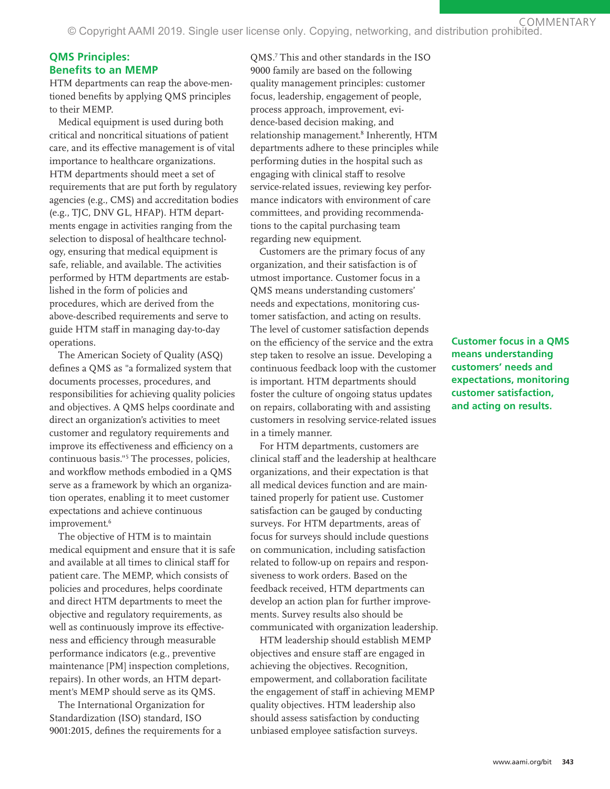© Copyright AAMI 2019. Single user license only. Copying, networking, and distribution prohibited.

# **QMS Principles: Benefits to an MEMP**

HTM departments can reap the above-mentioned benefits by applying QMS principles to their MEMP.

Medical equipment is used during both critical and noncritical situations of patient care, and its effective management is of vital importance to healthcare organizations. HTM departments should meet a set of requirements that are put forth by regulatory agencies (e.g., CMS) and accreditation bodies (e.g., TJC, DNV GL, HFAP). HTM departments engage in activities ranging from the selection to disposal of healthcare technology, ensuring that medical equipment is safe, reliable, and available. The activities performed by HTM departments are established in the form of policies and procedures, which are derived from the above-described requirements and serve to guide HTM staff in managing day-to-day operations.

The American Society of Quality (ASQ) defines a QMS as "a formalized system that documents processes, procedures, and responsibilities for achieving quality policies and objectives. A QMS helps coordinate and direct an organization's activities to meet customer and regulatory requirements and improve its effectiveness and efficiency on a continuous basis."5 The processes, policies, and workflow methods embodied in a QMS serve as a framework by which an organization operates, enabling it to meet customer expectations and achieve continuous improvement.<sup>6</sup>

The objective of HTM is to maintain medical equipment and ensure that it is safe and available at all times to clinical staff for patient care. The MEMP, which consists of policies and procedures, helps coordinate and direct HTM departments to meet the objective and regulatory requirements, as well as continuously improve its effectiveness and efficiency through measurable performance indicators (e.g., preventive maintenance [PM] inspection completions, repairs). In other words, an HTM department's MEMP should serve as its QMS.

The International Organization for Standardization (ISO) standard, ISO 9001:2015, defines the requirements for a

QMS.7 This and other standards in the ISO 9000 family are based on the following quality management principles: customer focus, leadership, engagement of people, process approach, improvement, evidence-based decision making, and relationship management.<sup>8</sup> Inherently, HTM departments adhere to these principles while performing duties in the hospital such as engaging with clinical staff to resolve service-related issues, reviewing key performance indicators with environment of care committees, and providing recommendations to the capital purchasing team regarding new equipment.

Customers are the primary focus of any organization, and their satisfaction is of utmost importance. Customer focus in a QMS means understanding customers' needs and expectations, monitoring customer satisfaction, and acting on results. The level of customer satisfaction depends on the efficiency of the service and the extra step taken to resolve an issue. Developing a continuous feedback loop with the customer is important. HTM departments should foster the culture of ongoing status updates on repairs, collaborating with and assisting customers in resolving service-related issues in a timely manner.

For HTM departments, customers are clinical staff and the leadership at healthcare organizations, and their expectation is that all medical devices function and are maintained properly for patient use. Customer satisfaction can be gauged by conducting surveys. For HTM departments, areas of focus for surveys should include questions on communication, including satisfaction related to follow-up on repairs and responsiveness to work orders. Based on the feedback received, HTM departments can develop an action plan for further improvements. Survey results also should be communicated with organization leadership.

HTM leadership should establish MEMP objectives and ensure staff are engaged in achieving the objectives. Recognition, empowerment, and collaboration facilitate the engagement of staff in achieving MEMP quality objectives. HTM leadership also should assess satisfaction by conducting unbiased employee satisfaction surveys.

**Customer focus in a QMS means understanding customers' needs and expectations, monitoring customer satisfaction, and acting on results.**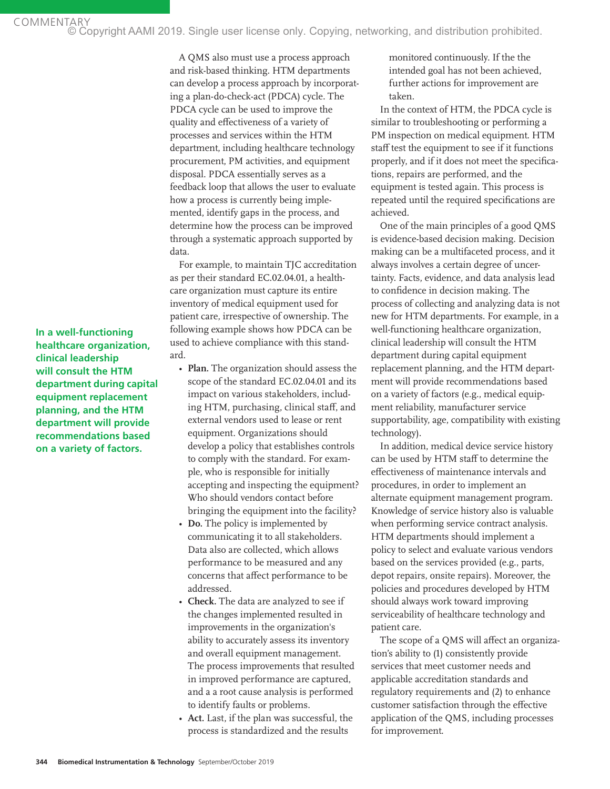© Copyright AAMI 2019. Single user license only. Copying, networking, and distribution prohibited.

A QMS also must use a process approach and risk-based thinking. HTM departments can develop a process approach by incorporating a plan-do-check-act (PDCA) cycle. The PDCA cycle can be used to improve the quality and effectiveness of a variety of processes and services within the HTM department, including healthcare technology procurement, PM activities, and equipment disposal. PDCA essentially serves as a feedback loop that allows the user to evaluate how a process is currently being implemented, identify gaps in the process, and determine how the process can be improved through a systematic approach supported by data.

For example, to maintain TJC accreditation as per their standard EC.02.04.01, a healthcare organization must capture its entire inventory of medical equipment used for patient care, irrespective of ownership. The following example shows how PDCA can be used to achieve compliance with this standard.

- **Plan.** The organization should assess the scope of the standard EC.02.04.01 and its impact on various stakeholders, including HTM, purchasing, clinical staff, and external vendors used to lease or rent equipment. Organizations should develop a policy that establishes controls to comply with the standard. For example, who is responsible for initially accepting and inspecting the equipment? Who should vendors contact before bringing the equipment into the facility?
- **Do.** The policy is implemented by communicating it to all stakeholders. Data also are collected, which allows performance to be measured and any concerns that affect performance to be addressed.
- **Check.** The data are analyzed to see if the changes implemented resulted in improvements in the organization's ability to accurately assess its inventory and overall equipment management. The process improvements that resulted in improved performance are captured, and a a root cause analysis is performed to identify faults or problems.
- **Act.** Last, if the plan was successful, the process is standardized and the results

monitored continuously. If the the intended goal has not been achieved, further actions for improvement are taken.

In the context of HTM, the PDCA cycle is similar to troubleshooting or performing a PM inspection on medical equipment. HTM staff test the equipment to see if it functions properly, and if it does not meet the specifications, repairs are performed, and the equipment is tested again. This process is repeated until the required specifications are achieved.

One of the main principles of a good QMS is evidence-based decision making. Decision making can be a multifaceted process, and it always involves a certain degree of uncertainty. Facts, evidence, and data analysis lead to confidence in decision making. The process of collecting and analyzing data is not new for HTM departments. For example, in a well-functioning healthcare organization, clinical leadership will consult the HTM department during capital equipment replacement planning, and the HTM department will provide recommendations based on a variety of factors (e.g., medical equipment reliability, manufacturer service supportability, age, compatibility with existing technology).

In addition, medical device service history can be used by HTM staff to determine the effectiveness of maintenance intervals and procedures, in order to implement an alternate equipment management program. Knowledge of service history also is valuable when performing service contract analysis. HTM departments should implement a policy to select and evaluate various vendors based on the services provided (e.g., parts, depot repairs, onsite repairs). Moreover, the policies and procedures developed by HTM should always work toward improving serviceability of healthcare technology and patient care.

The scope of a QMS will affect an organization's ability to (1) consistently provide services that meet customer needs and applicable accreditation standards and regulatory requirements and (2) to enhance customer satisfaction through the effective application of the QMS, including processes for improvement.

**In a well-functioning healthcare organization, clinical leadership will consult the HTM department during capital equipment replacement planning, and the HTM department will provide recommendations based on a variety of factors.**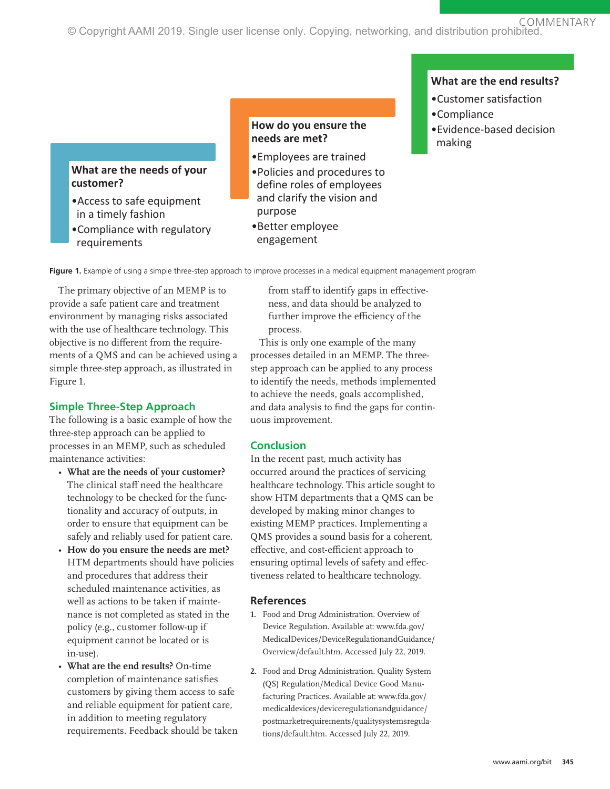COMMENTARY © Copyright AAMI 2019. Single user license only. Copying, networking, and distribution prohibited.

# **What are the needs of your customer?**

- •Access to safe equipment in a timely fashion
- •Compliance with regulatory requirements

### **How do you ensure the needs are met?**

- •Employees are trained
- •Policies and procedures to define roles of employees and clarify the vision and purpose
- •Better employee engagement

### **What are the end results?**

- •Customer satisfaction
- •Compliance
- •Evidence-based decision making

**Figure 1.** Example of using a simple three-step approach to improve processes in a medical equipment management program

The primary objective of an MEMP is to provide a safe patient care and treatment environment by managing risks associated with the use of healthcare technology. This objective is no different from the requirements of a QMS and can be achieved using a simple three-step approach, as illustrated in Figure 1.

# **Simple Three-Step Approach**

The following is a basic example of how the three-step approach can be applied to processes in an MEMP, such as scheduled maintenance activities:

- **What are the needs of your customer?** The clinical staff need the healthcare technology to be checked for the functionality and accuracy of outputs, in order to ensure that equipment can be safely and reliably used for patient care.
- **How do you ensure the needs are met?** HTM departments should have policies and procedures that address their scheduled maintenance activities, as well as actions to be taken if maintenance is not completed as stated in the policy (e.g., customer follow-up if equipment cannot be located or is in-use).
- **What are the end results?** On-time completion of maintenance satisfies customers by giving them access to safe and reliable equipment for patient care, in addition to meeting regulatory requirements. Feedback should be taken

from staff to identify gaps in effectiveness, and data should be analyzed to further improve the efficiency of the process.

This is only one example of the many processes detailed in an MEMP. The threestep approach can be applied to any process to identify the needs, methods implemented to achieve the needs, goals accomplished, and data analysis to find the gaps for continuous improvement.

# **Conclusion**

In the recent past, much activity has occurred around the practices of servicing healthcare technology. This article sought to show HTM departments that a QMS can be developed by making minor changes to existing MEMP practices. Implementing a QMS provides a sound basis for a coherent, effective, and cost-efficient approach to ensuring optimal levels of safety and effectiveness related to healthcare technology.

# **References**

- **1.** Food and Drug Administration. Overview of Device Regulation. Available at: www.fda.gov/ MedicalDevices/DeviceRegulationandGuidance/ Overview/default.htm. Accessed July 22, 2019.
- **2.** Food and Drug Administration. Quality System (QS) Regulation/Medical Device Good Manufacturing Practices. Available at: www.fda.gov/ medicaldevices/deviceregulationandguidance/ postmarketrequirements/qualitysystemsregulations/default.htm. Accessed July 22, 2019.